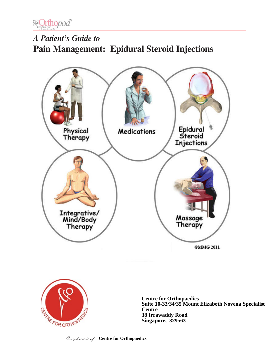

# *A Patient's Guide to* **Pain Management: Epidural Steroid Injections**





**Centre for Orthopaedics Suite 10-33/34/35 Mount Elizabeth Novena Specialist Centre 38 Irrawaddy Road Singapore, 329563**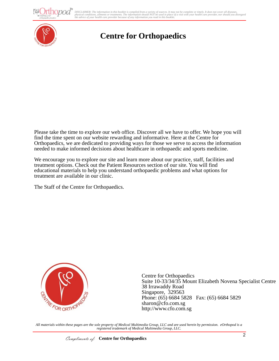DISCLAIMER: The information in this booklet is compiled from a variety of sources. It may not be complete or timely. It does not cover all diseases,<br>physical conditions, ailments or treatments. The information yould NOT be



## **Centre for Orthopaedics**

Please take the time to explore our web office. Discover all we have to offer. We hope you will find the time spent on our website rewarding and informative. Here at the Centre for Orthopaedics, we are dedicated to providing ways for those we serve to access the information needed to make informed decisions about healthcare in orthopaedic and sports medicine.

We encourage you to explore our site and learn more about our practice, staff, facilities and treatment options. Check out the Patient Resources section of our site. You will find educational materials to help you understand orthopaedic problems and what options for treatment are available in our clinic.

The Staff of the Centre for Orthopaedics.



Centre for Orthopaedics Suite 10-33/34/35 Mount Elizabeth Novena Specialist Centre 38 Irrawaddy Road Singapore, 329563 Phone: (65) 6684 5828 Fax: (65) 6684 5829 sharon@cfo.com.sg http://www.cfo.com.sg

*All materials within these pages are the sole property of Medical Multimedia Group, LLC and are used herein by permission. eOrthopod is a registered trademark of Medical Multimedia Group, LLC.*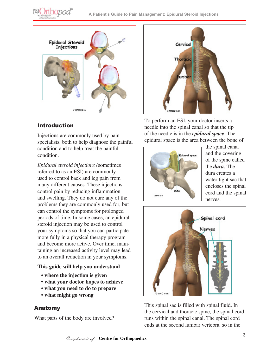



#### Introduction

Injections are commonly used by pain specialists, both to help diagnose the painful condition and to help treat the painful condition.

*Epidural steroid injections (*sometimes referred to as an ESI) are commonly used to control back and leg pain from many different causes. These injections control pain by reducing inflammation and swelling. They do not cure any of the problems they are commonly used for, but can control the symptoms for prolonged periods of time. In some cases, an epidural steroid injection may be used to control your symptoms so that you can participate more fully in a physical therapy program and become more active. Over time, maintaining an increased activity level may lead to an overall reduction in your symptoms.

#### **This guide will help you understand**

- **where the injection is given**
- **what your doctor hopes to achieve**
- **what you need to do to prepare**
- **what might go wrong**

#### Anatomy

What parts of the body are involved?



To perform an ESI, your doctor inserts a needle into the spinal canal so that the tip of the needle is in the *epidural space*. The epidural space is the area between the bone of



the spinal canal and the covering of the spine called the *dura*. The dura creates a water tight sac that encloses the spinal cord and the spinal nerves.



This spinal sac is filled with spinal fluid. In the cervical and thoracic spine, the spinal cord runs within the spinal canal. The spinal cord ends at the second lumbar vertebra, so in the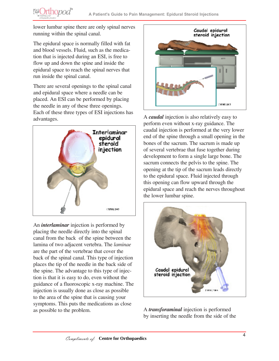lower lumbar spine there are only spinal nerves running within the spinal canal.

**@Orthopod®** 

The epidural space is normally filled with fat and blood vessels. Fluid, such as the medication that is injected during an ESI, is free to flow up and down the spine and inside the epidural space to reach the spinal nerves that run inside the spinal canal.

There are several openings to the spinal canal and epidural space where a needle can be placed. An ESI can be performed by placing the needle in any of these three openings. Each of these three types of ESI injections has advantages.



An *interlaminar* injection is performed by placing the needle directly into the spinal canal from the back of the spine between the lamina of two adjacent vertebra. The *laminae*  are the part of the vertebrae that cover the back of the spinal canal. This type of injection places the tip of the needle in the back side of the spine. The advantage to this type of injection is that it is easy to do, even without the guidance of a fluoroscopic x-ray machine. The injection is usually done as close as possible to the area of the spine that is causing your symptoms. This puts the medications as close as possible to the problem.



A *caudal* injection is also relatively easy to perform even without x-ray guidance. The caudal injection is performed at the very lower end of the spine through a small opening in the bones of the sacrum. The sacrum is made up of several vertebrae that fuse together during development to form a single large bone. The sacrum connects the pelvis to the spine. The opening at the tip of the sacrum leads directly to the epidural space. Fluid injected through this opening can flow upward through the epidural space and reach the nerves throughout the lower lumbar spine.



A *transforaminal* injection is performed by inserting the needle from the side of the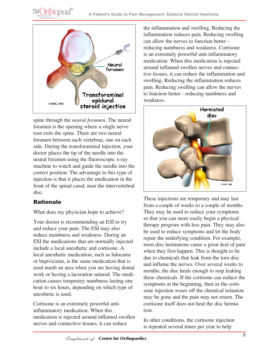



spine through the *neural foramen*. The neural foramen is the opening where a single nerve root exits the spine. There are two neural foramen between each vertebrae, one on each side. During the transforaminal injection, your doctor places the tip of the needle into the neural foramen using the fluoroscopic x-ray machine to watch and guide the needle into the correct position. The advantage to this type of injection is that it places the medication in the front of the spinal canal, near the intervertebral disc.

## Rationale

What does my physician hope to achieve?

Your doctor is recommending an ESI to try and reduce your pain. The ESI may also reduce numbness and weakness. During an ESI the medications that are normally injected include a local anesthetic and cortisone. A local anesthetic medication, such as lidocaine or bupivicaine, is the same medication that is used numb an area when you are having dental work or having a laceration sutured. The medication causes temporary numbness lasting one hour to six hours, depending on which type of anesthetic is used.

Cortisone is an extremely powerful antiinflammatory medication. When this medication is injected around inflamed swollen nerves and connective tissues, it can reduce

the inflammation and swelling. Reducing the inflammation reduces pain. Reducing swelling can allow the nerves to function better reducing numbness and weakness. Cortisone is an extremely powerful anti-inflammatory medication. When this medication is injected around inflamed swollen nerves and connective tissues, it can reduce the inflammation and swelling. Reducing the inflammation reduces pain. Reducing swelling can allow the nerves to function better - reducing numbness and weakness.



These injections are temporary and may last from a couple of weeks to a couple of months. They may be used to reduce your symptoms so that you can more easily begin a physical therapy program with less pain. They may also be used to reduce symptoms and let the body repair the underlying condition. For example, most disc herniations cause a great deal of pain when they first happen. This is thought to be due to chemicals that leak from the torn disc and inflame the nerves. Over several weeks to months, the disc heals enough to stop leaking these chemicals. If the cortisone can reduce the symptoms at the beginning, then as the cortisone injection wears off the chemical irritation may be gone and the pain may not return. The cortisone itself does not heal the disc herniation.

In other conditions, the cortisone injection is repeated several times per year to help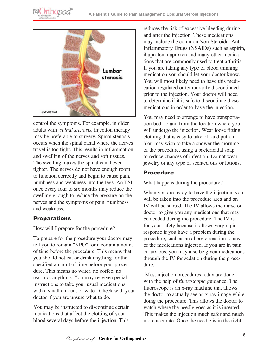



control the symptoms. For example, in older adults with *spinal stenosis*, injection therapy may be preferable to surgery. Spinal stenosis occurs when the spinal canal where the nerves travel is too tight. This results in inflammation and swelling of the nerves and soft tissues. The swelling makes the spinal canal even tighter. The nerves do not have enough room to function correctly and begin to cause pain, numbness and weakness into the legs. An ESI once every four to six months may reduce the swelling enough to reduce the pressure on the nerves and the symptoms of pain, numbness and weakness.

## **Preparations**

How will I prepare for the procedure?

To prepare for the procedure your doctor may tell you to remain "NPO" for a certain amount of time before the procedure. This means that you should not eat or drink anything for the specified amount of time before your procedure. This means no water, no coffee, no tea - not anything. You may receive special instructions to take your usual medications with a small amount of water. Check with your doctor if you are unsure what to do.

You may be instructed to discontinue certain medications that affect the clotting of your blood several days before the injection. This

reduces the risk of excessive bleeding during and after the injection. These medications may include the common Non-Steroidal Anti-Inflammatory Drugs (NSAIDs) such as aspirin, ibuprofen, naproxen and many other medications that are commonly used to treat arthritis. If you are taking any type of blood thinning medication you should let your doctor know. You will most likely need to have this medication regulated or temporarily discontinued prior to the injection. Your doctor will need to determine if it is safe to discontinue these medications in order to have the injection.

You may need to arrange to have transportation both to and from the location where you will undergo the injection. Wear loose fitting clothing that is easy to take off and put on. You may wish to take a shower the morning of the procedure, using a bactericidal soap to reduce chances of infection. Do not wear jewelry or any type of scented oils or lotions.

#### Procedure

What happens during the procedure?

When you are ready to have the injection, you will be taken into the procedure area and an IV will be started. The IV allows the nurse or doctor to give you any medications that may be needed during the procedure. The IV is for your safety because it allows very rapid response if you have a problem during the procedure, such as an allergic reaction to any of the medications injected. If you are in pain or anxious, you may also be given medications through the IV for sedation during the procedure.

 Most injection procedures today are done with the help of *fluoroscopic* guidance. The fluoroscope is an x-ray machine that allows the doctor to actually see an x-ray image while doing the procedure. This allows the doctor to watch where the needle goes as it is inserted. This makes the injection much safer and much more accurate. Once the needle is in the right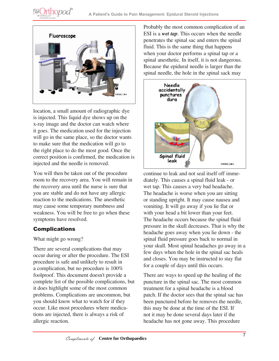



location, a small amount of radiographic dye is injected. This liquid dye shows up on the x-ray image and the doctor can watch where it goes. The medication used for the injection will go in the same place, so the doctor wants to make sure that the medication will go to the right place to do the most good. Once the correct position is confirmed, the medication is injected and the needle is removed.

You will then be taken out of the procedure room to the recovery area. You will remain in the recovery area until the nurse is sure that you are stable and do not have any allergic reaction to the medications. The anesthetic may cause some temporary numbness and weakness. You will be free to go when these symptoms have resolved.

#### Complications

What might go wrong?

There are several complications that may occur during or after the procedure. The ESI procedure is safe and unlikely to result in a complication, but no procedure is 100% foolproof. This document doesn't provide a complete list of the possible complications, but it does highlight some of the most common problems. Complications are uncommon, but you should know what to watch for if they occur. Like most procedures where medications are injected, there is always a risk of allergic reaction.

Probably the most common complication of an ESI is a *wet tap*. This occurs when the needle penetrates the spinal sac and enters the spinal fluid. This is the same thing that happens when your doctor performs a spinal tap or a spinal anesthetic. In itself, it is not dangerous. Because the epidural needle is larger than the spinal needle, the hole in the spinal sack may



continue to leak and not seal itself off immediately. This causes a spinal fluid leak - or wet tap. This causes a very bad headache. The headache is worse when you are sitting or standing upright. It may cause nausea and vomiting. It will go away if you lie flat or with your head a bit lower than your feet. The headache occurs because the spinal fluid pressure in the skull decreases. That is why the headache goes away when you lie down - the spinal fluid pressure goes back to normal in your skull. Most spinal headaches go away in a few days when the hole in the spinal sac heals and closes. You may be instructed to stay flat for a couple of days until this occurs.

There are ways to speed up the healing of the puncture in the spinal sac. The most common treatment for a spinal headache is a blood patch. If the doctor sees that the spinal sac has been punctured before he removes the needle, this may be done at the time of the ESI. If not it may be done several days later if the headache has not gone away. This procedure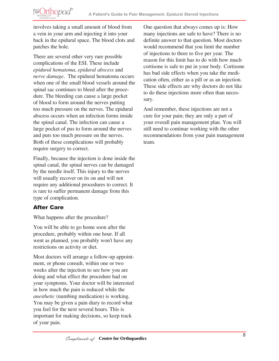**@Orthopod®** 

involves taking a small amount of blood from a vein in your arm and injecting it into your back in the epidural space. The blood clots and patches the hole.

There are several other very rare possible complications of the ESI. These include *epidural hematoma*, *epidural abscess* and *nerve damage*. The epidural hematoma occurs when one of the small blood vessels around the spinal sac continues to bleed after the procedure. The bleeding can cause a large pocket of blood to form around the nerves putting too much pressure on the nerves. The epidural abscess occurs when an infection forms inside the spinal canal. The infection can cause a large pocket of pus to form around the nerves and puts too much pressure on the nerves. Both of these complications will probably require surgery to correct.

Finally, because the injection is done inside the spinal canal, the spinal nerves can be damaged by the needle itself. This injury to the nerves will usually recover on its on and will not require any additional procedures to correct. It is rare to suffer permanent damage from this type of complication.

## After Care

What happens after the procedure?

You will be able to go home soon after the procedure, probably within one hour. If all went as planned, you probably won't have any restrictions on activity or diet.

Most doctors will arrange a follow-up appointment, or phone consult, within one or two weeks after the injection to see how you are doing and what effect the procedure had on your symptoms. Your doctor will be interested in how much the pain is reduced while the *anesthetic* (numbing medication) is working. You may be given a pain diary to record what you feel for the next several hours. This is important for making decisions, so keep track of your pain.

One question that always comes up is: How many injections are safe to have? There is no definite answer to that question. Most doctors would recommend that you limit the number of injections to three to five per year. The reason for this limit has to do with how much cortisone is safe to put in your body. Cortisone has bad side effects when you take the medication often, either as a pill or as an injection. These side effects are why doctors do not like to do these injections more often than necessary.

And remember, these injections are not a cure for your pain; they are only a part of your overall pain management plan. You will still need to continue working with the other recommendations from your pain management team.